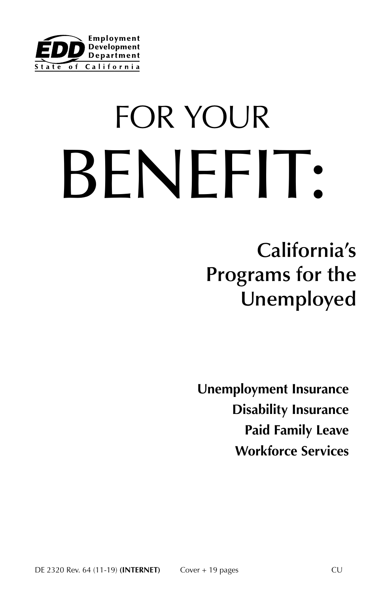

# FOR YOUR BENEFIT:

**California's Programs for the Unemployed**

**Unemployment Insurance Disability Insurance Paid Family Leave Workforce Services**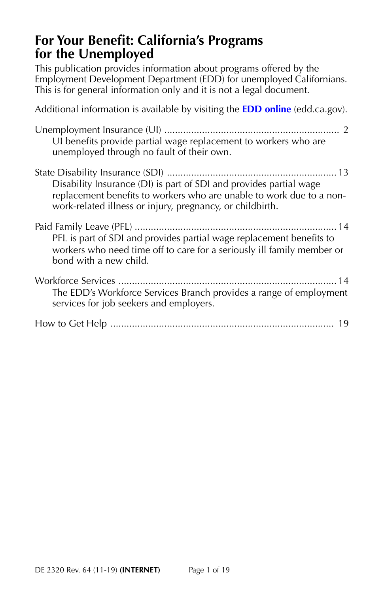# **For Your Benefit: California's Programs for the Unemployed**

This publication provides information about programs offered by the Employment Development Department (EDD) for unemployed Californians. This is for general information only and it is not a legal document.

Additional information is available by visiting the **[EDD online](https://www.edd.ca.gov/)** (edd.ca.gov). Unemployment Insurance (UI) ................................................................. 2 UI benefits provide partial wage replacement to workers who are unemployed through no fault of their own. State Disability Insurance (SDI) ............................................................... 13 Disability Insurance (DI) is part of SDI and provides partial wage replacement benefits to workers who are unable to work due to a nonwork-related illness or injury, pregnancy, or childbirth. Paid Family Leave (PFL) ........................................................................... 14 PFL is part of SDI and provides partial wage replacement benefits to workers who need time off to care for a seriously ill family member or bond with a new child. Workforce Services ................................................................................. 14 The EDD's Workforce Services Branch provides a range of employment services for job seekers and employers. How to Get Help ................................................................................... 19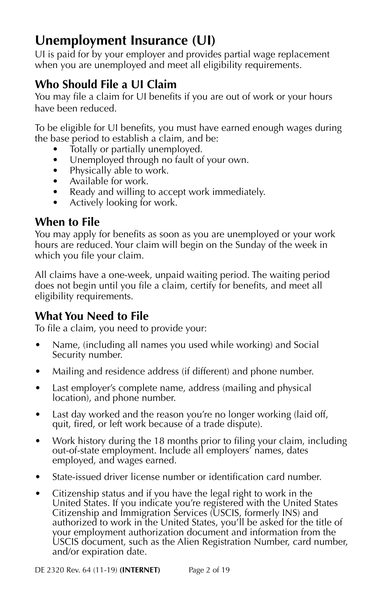# **Unemployment Insurance (UI)**

UI is paid for by your employer and provides partial wage replacement when you are unemployed and meet all eligibility requirements.

# **Who Should File a UI Claim**

You may file a claim for UI benefits if you are out of work or your hours have been reduced.

To be eligible for UI benefits, you must have earned enough wages during the base period to establish a claim, and be:

- Totally or partially unemployed.
- Unemployed through no fault of your own.
- Physically able to work.
- Available for work.
- Ready and willing to accept work immediately.
- Actively looking for work.

# **When to File**

You may apply for benefits as soon as you are unemployed or your work hours are reduced. Your claim will begin on the Sunday of the week in which you file your claim.

All claims have a one-week, unpaid waiting period. The waiting period does not begin until you file a claim, certify for benefits, and meet all eligibility requirements.

# **What You Need to File**

To file a claim, you need to provide your:

- Name, (including all names you used while working) and Social Security number.
- Mailing and residence address (if different) and phone number.
- Last employer's complete name, address (mailing and physical location), and phone number.
- Last day worked and the reason you're no longer working (laid off, quit, fired, or left work because of a trade dispute).
- Work history during the 18 months prior to filing your claim, including out-of-state employment. Include all employers' names, dates employed, and wages earned.
- State-issued driver license number or identification card number.
- Citizenship status and if you have the legal right to work in the United States. If you indicate you're registered with the United States Citizenship and Immigration Services (USCIS, formerly INS) and authorized to work in the United States, you'll be asked for the title of your employment authorization document and information from the USCIS document, such as the Alien Registration Number, card number, and/or expiration date.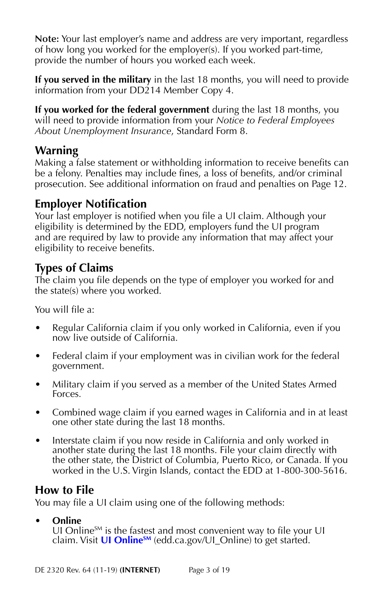**Note:** Your last employer's name and address are very important, regardless of how long you worked for the employer(s). If you worked part-time, provide the number of hours you worked each week.

**If you served in the military** in the last 18 months, you will need to provide information from your DD214 Member Copy 4.

**If you worked for the federal government** during the last 18 months, you will need to provide information from your *Notice to Federal Employees About Unemployment Insurance*, Standard Form 8.

# **Warning**

Making a false statement or withholding information to receive benefits can be a felony. Penalties may include fines, a loss of benefits, and/or criminal prosecution. See additional information on fraud and penalties on Page 12.

# **Employer Notification**

Your last employer is notified when you file a UI claim. Although your eligibility is determined by the EDD, employers fund the UI program and are required by law to provide any information that may affect your eligibility to receive benefits.

# **Types of Claims**

The claim you file depends on the type of employer you worked for and the state(s) where you worked.

You will file a:

- Regular California claim if you only worked in California, even if you now live outside of California.
- Federal claim if your employment was in civilian work for the federal government.
- Military claim if you served as a member of the United States Armed Forces.
- Combined wage claim if you earned wages in California and in at least one other state during the last 18 months.
- Interstate claim if you now reside in California and only worked in another state during the last 18 months. File your claim directly with the other state, the District of Columbia, Puerto Rico, or Canada. If you worked in the U.S. Virgin Islands, contact the EDD at 1-800-300-5616.

# **How to File**

You may file a UI claim using one of the following methods:

## **• Online**

UI Online $S_M$  is the fastest and most convenient way to file your UI claim. Visit **UI Online**<sup>SM</sup> (edd.ca.gov/UI\_Online) to get started.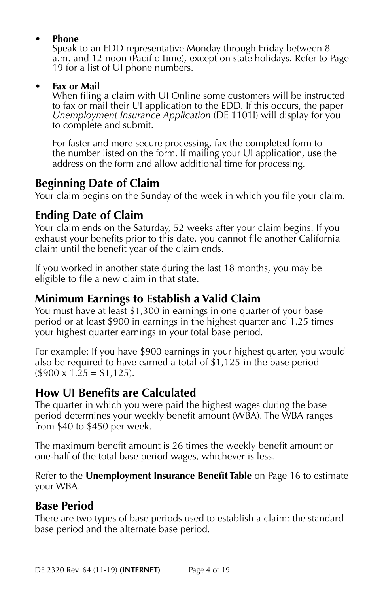#### **• Phone**

Speak to an EDD representative Monday through Friday between 8 a.m. and 12 noon (Pacific Time), except on state holidays. Refer to Page 19 for a list of UI phone numbers.

#### **• Fax or Mail**

When filing a claim with UI Online some customers will be instructed to fax or mail their UI application to the EDD. If this occurs, the paper *Unemployment Insurance Application* (DE 1101I) will display for you to complete and submit.

For faster and more secure processing, fax the completed form to the number listed on the form. If mailing your UI application, use the address on the form and allow additional time for processing.

# **Beginning Date of Claim**

Your claim begins on the Sunday of the week in which you file your claim.

# **Ending Date of Claim**

Your claim ends on the Saturday, 52 weeks after your claim begins. If you exhaust your benefits prior to this date, you cannot file another California claim until the benefit year of the claim ends.

If you worked in another state during the last 18 months, you may be eligible to file a new claim in that state.

# **Minimum Earnings to Establish a Valid Claim**

You must have at least \$1,300 in earnings in one quarter of your base period or at least \$900 in earnings in the highest quarter and 1.25 times your highest quarter earnings in your total base period.

For example: If you have \$900 earnings in your highest quarter, you would also be required to have earned a total of \$1,125 in the base period  $($900 \times 1.25 = $1,125).$ 

# **How UI Benefits are Calculated**

The quarter in which you were paid the highest wages during the base period determines your weekly benefit amount (WBA). The WBA ranges from \$40 to \$450 per week.

The maximum benefit amount is 26 times the weekly benefit amount or one-half of the total base period wages, whichever is less.

Refer to the **Unemployment Insurance Benefit Table** on Page 16 to estimate your WBA.

# **Base Period**

There are two types of base periods used to establish a claim: the standard base period and the alternate base period.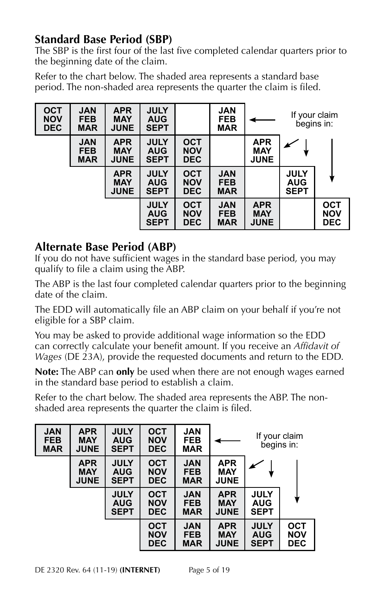# **Standard Base Period (SBP)**

The SBP is the first four of the last five completed calendar quarters prior to the beginning date of the claim.

Refer to the chart below. The shaded area represents a standard base period. The non-shaded area represents the quarter the claim is filed.

| <b>OCT</b><br><b>NOV</b><br><b>DEC</b> | <b>JAN</b><br><b>FEB</b><br><b>MAR</b> | <b>APR</b><br><b>MAY</b><br><b>JUNE</b> | <b>JULY</b><br><b>AUG</b><br><b>SEPT</b> |                                        | <b>JAN</b><br><b>FEB</b><br><b>MAR</b> |                                         | If your claim<br>begins in:              |                                        |
|----------------------------------------|----------------------------------------|-----------------------------------------|------------------------------------------|----------------------------------------|----------------------------------------|-----------------------------------------|------------------------------------------|----------------------------------------|
|                                        | <b>JAN</b><br><b>FEB</b><br><b>MAR</b> | <b>APR</b><br><b>MAY</b><br><b>JUNE</b> | <b>JULY</b><br><b>AUG</b><br><b>SEPT</b> | <b>OCT</b><br><b>NOV</b><br><b>DEC</b> |                                        | <b>APR</b><br><b>MAY</b><br><b>JUNE</b> |                                          |                                        |
|                                        |                                        | <b>APR</b><br><b>MAY</b><br><b>JUNE</b> | <b>JULY</b><br><b>AUG</b><br><b>SEPT</b> | <b>OCT</b><br><b>NOV</b><br><b>DEC</b> | <b>JAN</b><br><b>FEB</b><br><b>MAR</b> |                                         | <b>JULY</b><br><b>AUG</b><br><b>SEPT</b> |                                        |
|                                        |                                        |                                         | <b>JULY</b><br><b>AUG</b><br><b>SEPT</b> | <b>OCT</b><br><b>NOV</b><br><b>DEC</b> | <b>JAN</b><br><b>FEB</b><br><b>MAR</b> | <b>APR</b><br><b>MAY</b><br><b>JUNE</b> |                                          | <b>OCT</b><br><b>NOV</b><br><b>DEC</b> |

# **Alternate Base Period (ABP)**

If you do not have sufficient wages in the standard base period, you may qualify to file a claim using the ABP.

The ABP is the last four completed calendar quarters prior to the beginning date of the claim.

The EDD will automatically file an ABP claim on your behalf if you're not eligible for a SBP claim.

You may be asked to provide additional wage information so the EDD can correctly calculate your benefit amount. If you receive an *Affidavit of Wages* (DE 23A), provide the requested documents and return to the EDD.

**Note:** The ABP can **only** be used when there are not enough wages earned in the standard base period to establish a claim.

Refer to the chart below. The shaded area represents the ABP. The nonshaded area represents the quarter the claim is filed.

| <b>JAN</b><br><b>FEB</b><br><b>MAR</b> | <b>APR</b><br><b>MAY</b><br><b>JUNE</b> | <b>JULY</b><br><b>AUG</b><br><b>SEPT</b> | <b>OCT</b><br><b>NOV</b><br><b>DEC</b> | <b>JAN</b><br><b>FEB</b><br><b>MAR</b> |                                         | If your claim<br>begins in:              |                                        |
|----------------------------------------|-----------------------------------------|------------------------------------------|----------------------------------------|----------------------------------------|-----------------------------------------|------------------------------------------|----------------------------------------|
|                                        | <b>APR</b><br><b>MAY</b><br><b>JUNE</b> | <b>JULY</b><br><b>AUG</b><br><b>SEPT</b> | <b>OCT</b><br><b>NOV</b><br><b>DEC</b> | <b>JAN</b><br><b>FEB</b><br><b>MAR</b> | <b>APR</b><br><b>MAY</b><br><b>JUNE</b> |                                          |                                        |
|                                        |                                         | <b>JULY</b><br><b>AUG</b><br><b>SEPT</b> | <b>OCT</b><br><b>NOV</b><br><b>DEC</b> | <b>JAN</b><br><b>FEB</b><br><b>MAR</b> | <b>APR</b><br><b>MAY</b><br><b>JUNE</b> | <b>JULY</b><br><b>AUG</b><br><b>SEPT</b> |                                        |
|                                        |                                         |                                          | <b>OCT</b><br><b>NOV</b><br><b>DEC</b> | <b>JAN</b><br><b>FEB</b><br><b>MAR</b> | <b>APR</b><br><b>MAY</b><br><b>JUNE</b> | <b>JULY</b><br><b>AUG</b><br><b>SEPT</b> | <b>OCT</b><br><b>NOV</b><br><b>DEC</b> |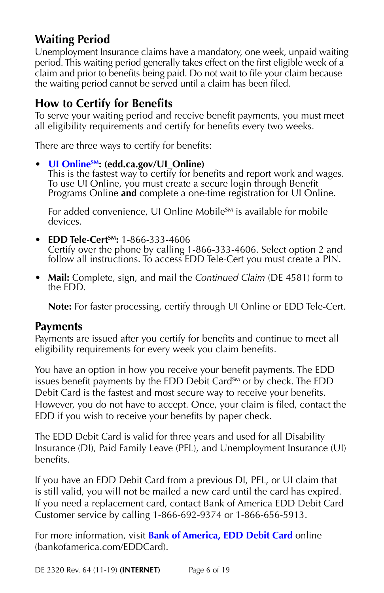# **Waiting Period**

Unemployment Insurance claims have a mandatory, one week, unpaid waiting period. This waiting period generally takes effect on the first eligible week of a claim and prior to benefits being paid. Do not wait to file your claim because the waiting period cannot be served until a claim has been filed.

## **How to Certify for Benefits**

To serve your waiting period and receive benefit payments, you must meet all eligibility requirements and certify for benefits every two weeks.

There are three ways to certify for benefits:

#### • **UI Online**<sup>SM</sup>: (edd.ca.gov/UI Online)

This is the fastest way to certify for benefits and report work and wages. To use UI Online, you must create a secure login through Benefit Programs Online **and** complete a one-time registration for UI Online.

For added convenience, UI Online Mobile<sup>SM</sup> is available for mobile devices.

- **EDD Tele-CertSM:** 1-866-333-4606 Certify over the phone by calling 1-866-333-4606. Select option 2 and follow all instructions. To access EDD Tele-Cert you must create a PIN.
- **Mail:** Complete, sign, and mail the *Continued Claim* (DE 4581) form to the EDD.

**Note:** For faster processing, certify through UI Online or EDD Tele-Cert.

#### **Payments**

Payments are issued after you certify for benefits and continue to meet all eligibility requirements for every week you claim benefits.

You have an option in how you receive your benefit payments. The EDD issues benefit payments by the EDD Debit Card<sup>SM</sup> or by check. The EDD Debit Card is the fastest and most secure way to receive your benefits. However, you do not have to accept. Once, your claim is filed, contact the EDD if you wish to receive your benefits by paper check.

The EDD Debit Card is valid for three years and used for all Disability Insurance (DI), Paid Family Leave (PFL), and Unemployment Insurance (UI) benefits.

If you have an EDD Debit Card from a previous DI, PFL, or UI claim that is still valid, you will not be mailed a new card until the card has expired. If you need a replacement card, contact Bank of America EDD Debit Card Customer service by calling 1-866-692-9374 or 1-866-656-5913.

For more information, visit **[Bank of America, EDD Debit Card](https://prepaid.bankofamerica.com/EddCard)** online (bankofamerica.com/EDDCard).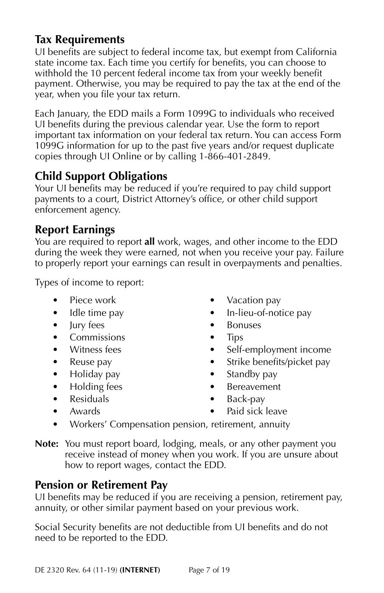# **Tax Requirements**

UI benefits are subject to federal income tax, but exempt from California state income tax. Each time you certify for benefits, you can choose to withhold the 10 percent federal income tax from your weekly benefit payment. Otherwise, you may be required to pay the tax at the end of the year, when you file your tax return.

Each January, the EDD mails a Form 1099G to individuals who received UI benefits during the previous calendar year. Use the form to report important tax information on your federal tax return. You can access Form 1099G information for up to the past five years and/or request duplicate copies through UI Online or by calling 1-866-401-2849.

# **Child Support Obligations**

Your UI benefits may be reduced if you're required to pay child support payments to a court, District Attorney's office, or other child support enforcement agency.

# **Report Earnings**

You are required to report **all** work, wages, and other income to the EDD during the week they were earned, not when you receive your pay. Failure to properly report your earnings can result in overpayments and penalties.

Types of income to report:

- Piece work
- Idle time pay
- Jury fees
- Commissions
- Witness fees
- Reuse pay
- Holiday pay
- Holding fees
- Residuals • Awards
- Vacation pay • In-lieu-of-notice pay
- Bonuses
- Tips
- Self-employment income
- Strike benefits/picket pay
- Standby pay
- Bereavement
- Back-pay
- Paid sick leave
- Workers' Compensation pension, retirement, annuity

**Note:** You must report board, lodging, meals, or any other payment you receive instead of money when you work. If you are unsure about how to report wages, contact the EDD.

# **Pension or Retirement Pay**

UI benefits may be reduced if you are receiving a pension, retirement pay, annuity, or other similar payment based on your previous work.

Social Security benefits are not deductible from UI benefits and do not need to be reported to the EDD.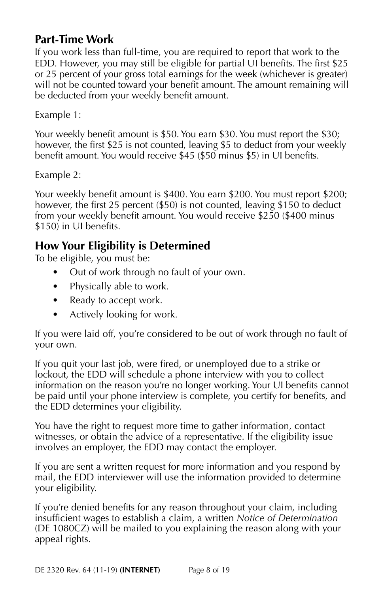# **Part-Time Work**

If you work less than full-time, you are required to report that work to the EDD. However, you may still be eligible for partial UI benefits. The first \$25 or 25 percent of your gross total earnings for the week (whichever is greater) will not be counted toward your benefit amount. The amount remaining will be deducted from your weekly benefit amount.

Example 1:

Your weekly benefit amount is \$50. You earn \$30. You must report the \$30; however, the first \$25 is not counted, leaving \$5 to deduct from your weekly benefit amount. You would receive \$45 (\$50 minus \$5) in UI benefits.

Example 2:

Your weekly benefit amount is \$400. You earn \$200. You must report \$200; however, the first 25 percent (\$50) is not counted, leaving \$150 to deduct from your weekly benefit amount. You would receive \$250 (\$400 minus \$150) in UI benefits.

# **How Your Eligibility is Determined**

To be eligible, you must be:

- Out of work through no fault of your own.
- Physically able to work.
- Ready to accept work.
- Actively looking for work.

If you were laid off, you're considered to be out of work through no fault of your own.

If you quit your last job, were fired, or unemployed due to a strike or lockout, the EDD will schedule a phone interview with you to collect information on the reason you're no longer working. Your UI benefits cannot be paid until your phone interview is complete, you certify for benefits, and the EDD determines your eligibility.

You have the right to request more time to gather information, contact witnesses, or obtain the advice of a representative. If the eligibility issue involves an employer, the EDD may contact the employer.

If you are sent a written request for more information and you respond by mail, the EDD interviewer will use the information provided to determine your eligibility.

If you're denied benefits for any reason throughout your claim, including insufficient wages to establish a claim, a written *Notice of Determination* (DE 1080CZ) will be mailed to you explaining the reason along with your appeal rights.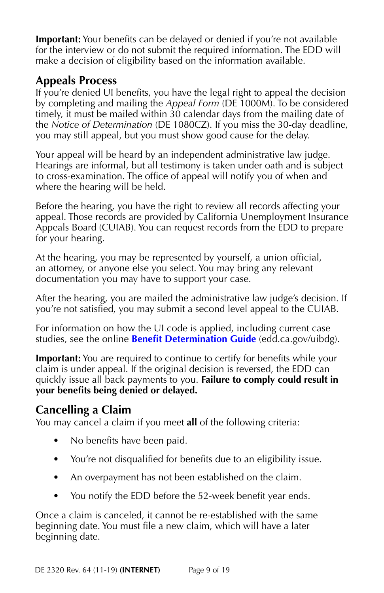**Important:** Your benefits can be delayed or denied if you're not available for the interview or do not submit the required information. The EDD will make a decision of eligibility based on the information available.

# **Appeals Process**

If you're denied UI benefits, you have the legal right to appeal the decision by completing and mailing the *Appeal Form* (DE 1000M). To be considered timely, it must be mailed within 30 calendar days from the mailing date of the *Notice of Determination* (DE 1080CZ). If you miss the 30-day deadline, you may still appeal, but you must show good cause for the delay.

Your appeal will be heard by an independent administrative law judge. Hearings are informal, but all testimony is taken under oath and is subject to cross-examination. The office of appeal will notify you of when and where the hearing will be held.

Before the hearing, you have the right to review all records affecting your appeal. Those records are provided by California Unemployment Insurance Appeals Board (CUIAB). You can request records from the EDD to prepare for your hearing.

At the hearing, you may be represented by yourself, a union official, an attorney, or anyone else you select. You may bring any relevant documentation you may have to support your case.

After the hearing, you are mailed the administrative law judge's decision. If you're not satisfied, you may submit a second level appeal to the CUIAB.

For information on how the UI code is applied, including current case studies, see the online **[Benefit Determination Guide](https://edd.ca.gov/uibdg/)** (edd.ca.gov/uibdg).

**Important:** You are required to continue to certify for benefits while your claim is under appeal. If the original decision is reversed, the EDD can quickly issue all back payments to you. **Failure to comply could result in your benefits being denied or delayed.**

# **Cancelling a Claim**

You may cancel a claim if you meet **all** of the following criteria:

- No benefits have been paid.
- You're not disqualified for benefits due to an eligibility issue.
- An overpayment has not been established on the claim.
- You notify the EDD before the 52-week benefit year ends.

Once a claim is canceled, it cannot be re-established with the same beginning date. You must file a new claim, which will have a later beginning date.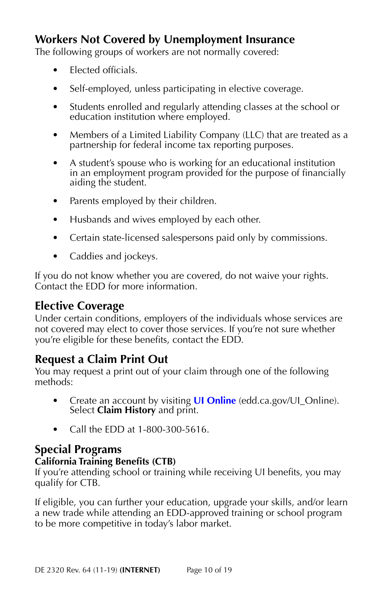# **Workers Not Covered by Unemployment Insurance**

The following groups of workers are not normally covered:

- Elected officials.
- Self-employed, unless participating in elective coverage.
- Students enrolled and regularly attending classes at the school or education institution where employed.
- Members of a Limited Liability Company (LLC) that are treated as a partnership for federal income tax reporting purposes.
- A student's spouse who is working for an educational institution in an employment program provided for the purpose of financially aiding the student.
- Parents employed by their children.
- Husbands and wives employed by each other.
- Certain state-licensed salespersons paid only by commissions.
- Caddies and jockeys.

If you do not know whether you are covered, do not waive your rights. Contact the EDD for more information.

# **Elective Coverage**

Under certain conditions, employers of the individuals whose services are not covered may elect to cover those services. If you're not sure whether you're eligible for these benefits, contact the EDD.

# **Request a Claim Print Out**

You may request a print out of your claim through one of the following methods:

- Create an account by visiting **[UI Online](https://edd.ca.gov/Unemployment/UI_Online.htm)** (edd.ca.gov/UI\_Online). Select **Claim History** and print.
- Call the EDD at 1-800-300-5616.

# **Special Programs**

#### **California Training Benefits (CTB)**

If you're attending school or training while receiving UI benefits, you may qualify for CTB.

If eligible, you can further your education, upgrade your skills, and/or learn a new trade while attending an EDD-approved training or school program to be more competitive in today's labor market.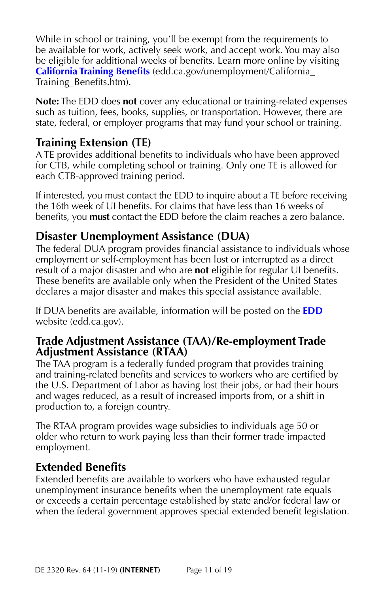While in school or training, you'll be exempt from the requirements to be available for work, actively seek work, and accept work. You may also be eligible for additional weeks of benefits. Learn more online by visiting **[California Training Benefits](https://edd.ca.gov/unemployment/California_Training_Benefits.htm)** (edd.ca.gov/unemployment/California\_ Training\_Benefits.htm).

**Note:** The EDD does **not** cover any educational or training-related expenses such as tuition, fees, books, supplies, or transportation. However, there are state, federal, or employer programs that may fund your school or training.

# **Training Extension (TE)**

A TE provides additional benefits to individuals who have been approved for CTB, while completing school or training. Only one TE is allowed for each CTB-approved training period.

If interested, you must contact the EDD to inquire about a TE before receiving the 16th week of UI benefits. For claims that have less than 16 weeks of benefits, you **must** contact the EDD before the claim reaches a zero balance.

# **Disaster Unemployment Assistance (DUA)**

The federal DUA program provides financial assistance to individuals whose employment or self-employment has been lost or interrupted as a direct result of a major disaster and who are **not** eligible for regular UI benefits. These benefits are available only when the President of the United States declares a major disaster and makes this special assistance available.

If DUA benefits are available, information will be posted on the **[EDD](https://edd.ca.gov/)** website (edd.ca.gov).

#### **Trade Adjustment Assistance (TAA)/Re-employment Trade Adjustment Assistance (RTAA)**

The TAA program is a federally funded program that provides training and training-related benefits and services to workers who are certified by the U.S. Department of Labor as having lost their jobs, or had their hours and wages reduced, as a result of increased imports from, or a shift in production to, a foreign country.

The RTAA program provides wage subsidies to individuals age 50 or older who return to work paying less than their former trade impacted employment.

# **Extended Benefits**

Extended benefits are available to workers who have exhausted regular unemployment insurance benefits when the unemployment rate equals or exceeds a certain percentage established by state and/or federal law or when the federal government approves special extended benefit legislation.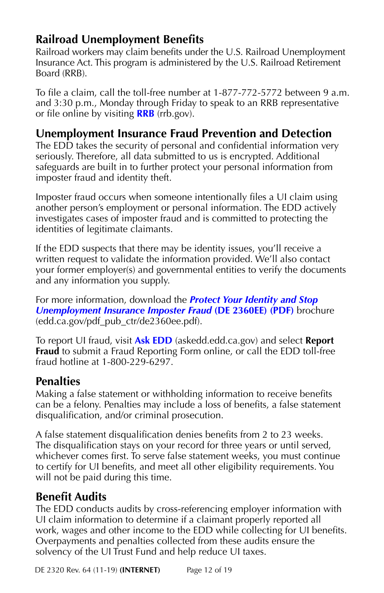# **Railroad Unemployment Benefits**

Railroad workers may claim benefits under the U.S. Railroad Unemployment Insurance Act. This program is administered by the U.S. Railroad Retirement Board (RRB).

To file a claim, call the toll-free number at 1-877-772-5772 between 9 a.m. and 3:30 p.m., Monday through Friday to speak to an RRB representative or file online by visiting **[RRB](https://rrb.gov/)** (rrb.gov).

# **Unemployment Insurance Fraud Prevention and Detection**

The EDD takes the security of personal and confidential information very seriously. Therefore, all data submitted to us is encrypted. Additional safeguards are built in to further protect your personal information from imposter fraud and identity theft.

Imposter fraud occurs when someone intentionally files a UI claim using another person's employment or personal information. The EDD actively investigates cases of imposter fraud and is committed to protecting the identities of legitimate claimants.

If the EDD suspects that there may be identity issues, you'll receive a written request to validate the information provided. We'll also contact your former employer(s) and governmental entities to verify the documents and any information you supply.

For more information, download the *[Protect Your Identity and Stop](https://edd.ca.gov/pdf_pub_ctr/de2360ee.pdf)  [Unemployment Insurance Imposter Fraud](https://edd.ca.gov/pdf_pub_ctr/de2360ee.pdf)* **(DE 2360EE) (PDF)** brochure (edd.ca.gov/pdf\_pub\_ctr/de2360ee.pdf).

To report UI fraud, visit **[Ask EDD](https://askedd.edd.ca.gov/)** (askedd.edd.ca.gov) and select **Report Fraud** to submit a Fraud Reporting Form online, or call the EDD toll-free fraud hotline at 1-800-229-6297.

# **Penalties**

Making a false statement or withholding information to receive benefits can be a felony. Penalties may include a loss of benefits, a false statement disqualification, and/or criminal prosecution.

A false statement disqualification denies benefits from 2 to 23 weeks. The disqualification stays on your record for three years or until served, whichever comes first. To serve false statement weeks, you must continue to certify for UI benefits, and meet all other eligibility requirements. You will not be paid during this time.

# **Benefit Audits**

The EDD conducts audits by cross-referencing employer information with UI claim information to determine if a claimant properly reported all work, wages and other income to the EDD while collecting for UI benefits. Overpayments and penalties collected from these audits ensure the solvency of the UI Trust Fund and help reduce UI taxes.

DE 2320 Rev. 64 (11-19) **(INTERNET)** Page 12 of 19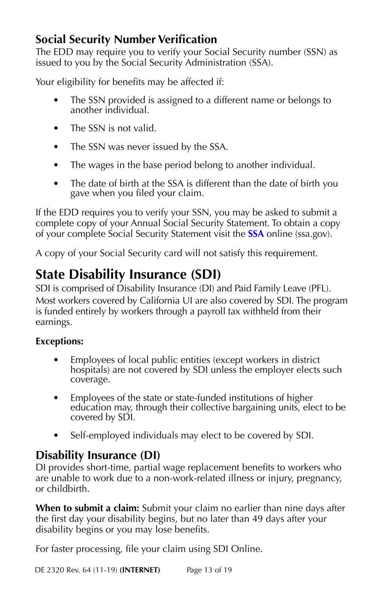# **Social Security Number Verification**

The EDD may require you to verify your Social Security number (SSN) as issued to you by the Social Security Administration (SSA).

Your eligibility for benefits may be affected if:

- The SSN provided is assigned to a different name or belongs to another individual.
- The SSN is not valid.
- The SSN was never issued by the SSA.
- The wages in the base period belong to another individual.
- The date of birth at the SSA is different than the date of birth you gave when you filed your claim.

If the EDD requires you to verify your SSN, you may be asked to submit a complete copy of your Annual Social Security Statement. To obtain a copy of your complete Social Security Statement visit the **[SSA](https://www.ssa.gov/)** online (ssa.gov).

A copy of your Social Security card will not satisfy this requirement.

# **State Disability Insurance (SDI)**

SDI is comprised of Disability Insurance (DI) and Paid Family Leave (PFL). Most workers covered by California UI are also covered by SDI. The program is funded entirely by workers through a payroll tax withheld from their earnings.

## **Exceptions:**

- Employees of local public entities (except workers in district hospitals) are not covered by SDI unless the employer elects such coverage.
- Employees of the state or state-funded institutions of higher education may, through their collective bargaining units, elect to be covered by SDI.
- Self-employed individuals may elect to be covered by SDI.

# **Disability Insurance (DI)**

DI provides short-time, partial wage replacement benefits to workers who are unable to work due to a non-work-related illness or injury, pregnancy, or childbirth.

**When to submit a claim:** Submit your claim no earlier than nine days after the first day your disability begins, but no later than 49 days after your disability begins or you may lose benefits.

For faster processing, file your claim using SDI Online.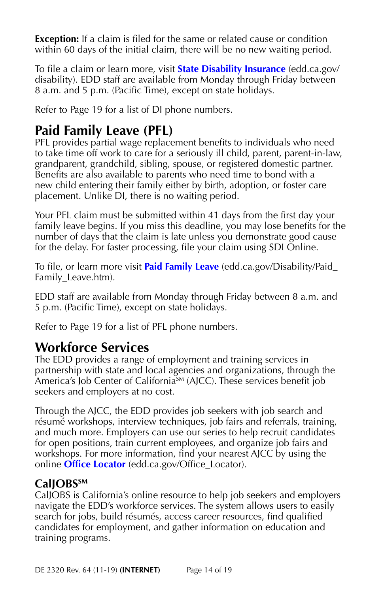**Exception:** If a claim is filed for the same or related cause or condition within 60 days of the initial claim, there will be no new waiting period.

To file a claim or learn more, visit **[State Disability Insurance](https://edd.ca.gov/disability/)** (edd.ca.gov/ disability). EDD staff are available from Monday through Friday between 8 a.m. and 5 p.m. (Pacific Time), except on state holidays.

Refer to Page 19 for a list of DI phone numbers.

# **Paid Family Leave (PFL)**

PFL provides partial wage replacement benefits to individuals who need to take time off work to care for a seriously ill child, parent, parent-in-law, grandparent, grandchild, sibling, spouse, or registered domestic partner. Benefits are also available to parents who need time to bond with a new child entering their family either by birth, adoption, or foster care placement. Unlike DI, there is no waiting period.

Your PFL claim must be submitted within 41 days from the first day your family leave begins. If you miss this deadline, you may lose benefits for the number of days that the claim is late unless you demonstrate good cause for the delay. For faster processing, file your claim using SDI Online.

To file, or learn more visit **[Paid Family Leave](https://edd.ca.gov/Disability/Paid_Family_Leave.htm)** (edd.ca.gov/Disability/Paid\_ Family\_Leave.htm).

EDD staff are available from Monday through Friday between 8 a.m. and 5 p.m. (Pacific Time), except on state holidays.

Refer to Page 19 for a list of PFL phone numbers.

# **Workforce Services**

The EDD provides a range of employment and training services in partnership with state and local agencies and organizations, through the America's Job Center of California<sup>SM</sup> (AJCC). These services benefit job seekers and employers at no cost.

Through the AJCC, the EDD provides job seekers with job search and résumé workshops, interview techniques, job fairs and referrals, training, and much more. Employers can use our series to help recruit candidates for open positions, train current employees, and organize job fairs and workshops. For more information, find your nearest AJCC by using the online **[Office Locator](https://edd.ca.gov/Office_Locator/)** (edd.ca.gov/Office\_Locator).

# CalJOBS<sup>SM</sup>

CalJOBS is California's online resource to help job seekers and employers navigate the EDD's workforce services. The system allows users to easily search for jobs, build résumés, access career resources, find qualified candidates for employment, and gather information on education and training programs.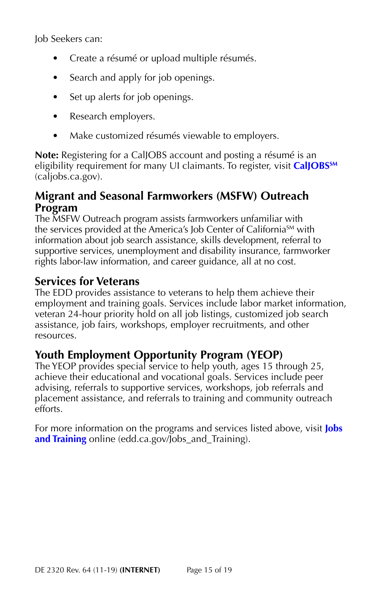Job Seekers can:

- Create a résumé or upload multiple résumés.
- Search and apply for job openings.
- Set up alerts for job openings.
- Research employers.
- Make customized résumés viewable to employers.

**Note:** Registering for a CalJOBS account and posting a résumé is an eligibility requirement for many UI claimants. To register, visit **[CalJOBSSM](https://www.caljobs.ca.gov)** (caljobs.ca.gov).

## **Migrant and Seasonal Farmworkers (MSFW) Outreach Program**

The MSFW Outreach program assists farmworkers unfamiliar with the services provided at the America's Job Center of California<sup>SM</sup> with information about job search assistance, skills development, referral to supportive services, unemployment and disability insurance, farmworker rights labor-law information, and career guidance, all at no cost.

# **Services for Veterans**

The EDD provides assistance to veterans to help them achieve their employment and training goals. Services include labor market information, veteran 24-hour priority hold on all job listings, customized job search assistance, job fairs, workshops, employer recruitments, and other resources.

# **Youth Employment Opportunity Program (YEOP)**

The YEOP provides special service to help youth, ages 15 through 25, achieve their educational and vocational goals. Services include peer advising, referrals to supportive services, workshops, job referrals and placement assistance, and referrals to training and community outreach efforts.

For more information on the programs and services listed above, visit **[Jobs](https://edd.ca.gov/Jobs_and_Training/)  [and Training](https://edd.ca.gov/Jobs_and_Training/)** online (edd.ca.gov/Jobs and Training).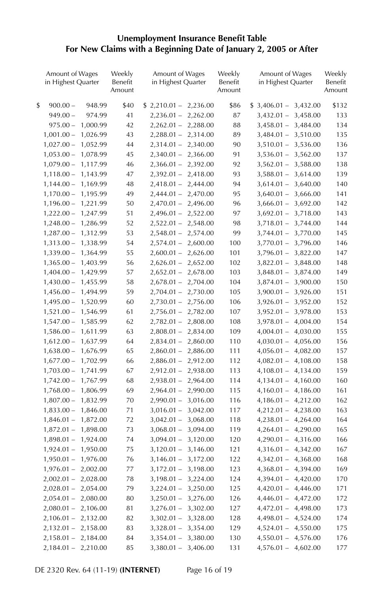#### **Unemployment Insurance Benefit Table For New Claims with a Beginning Date of January 2, 2005 or After**

| Amount of Wages<br>in Highest Quarter | Weekly<br>Benefit<br>Amount | Amount of Wages<br>in Highest Quarter | Weekly<br>Benefit<br>Amount | Amount of Wages<br>in Highest Quarter | Weekly<br>Benefit<br>Amount |
|---------------------------------------|-----------------------------|---------------------------------------|-----------------------------|---------------------------------------|-----------------------------|
| \$<br>$900.00 -$<br>948.99            | \$40                        | $$2,210.01 - 2,236.00$                | \$86                        | $$3,406.01 - 3,432.00$                | \$132                       |
| 974.99<br>$949.00 -$                  | 41                          | $2,236.01 - 2,262.00$                 | 87                          | $3,432.01 -$<br>3,458.00              | 133                         |
| $975.00 -$<br>1,000.99                | 42                          | $2,262.01 - 2,288.00$                 | 88                          | $3,458.01 -$<br>3,484.00              | 134                         |
| $1,001.00 -$<br>1,026.99              | 43                          | $2,288.01 - 2,314.00$                 | 89                          | 3,510.00<br>$3,484.01 -$              | 135                         |
| $1,027.00 -$<br>1,052.99              | 44                          | $2,314.01 - 2,340.00$                 | 90                          | 3,536.00<br>$3,510.01 -$              | 136                         |
| $1,053.00 -$<br>1,078.99              | 45                          | $2,340.01 - 2,366.00$                 | 91                          | $3,536.01 -$<br>3,562.00              | 137                         |
| $1,079.00 -$<br>1,117.99              | 46                          | $2,366.01 - 2,392.00$                 | 92                          | $3,562.01 -$<br>3,588.00              | 138                         |
| $1,118.00 -$<br>1,143.99              | 47                          | $2,392.01 - 2,418.00$                 | 93                          | $3,588.01 -$<br>3,614.00              | 139                         |
| $1,144.00 -$<br>1,169.99              | 48                          | $2,418.01 - 2,444.00$                 | 94                          | $3,614.01 -$<br>3,640.00              | 140                         |
| $1,170.00 -$<br>1,195.99              | 49                          | $2,444.01 - 2,470.00$                 | 95                          | $3,640.01 -$<br>3,666.00              | 141                         |
| $1,196.00 -$<br>1,221.99              | 50                          | $2,470.01 - 2,496.00$                 | 96                          | 3,692.00<br>$3,666.01 -$              | 142                         |
| $1,222.00 -$<br>1,247.99              | 51                          | $2,496.01 - 2,522.00$                 | 97                          | $3,692.01 -$<br>3,718.00              | 143                         |
| $1,248.00 -$<br>1,286.99              | 52                          | $2,522.01 - 2,548.00$                 | 98                          | $3,718.01 -$<br>3,744.00              | 144                         |
| 1,312.99<br>$1,287.00 -$              | 53                          | $2,548.01 - 2,574.00$                 | 99                          | 3,770.00<br>$3,744.01 -$              | 145                         |
| $1,313.00 -$<br>1,338.99              | 54                          | $2,574.01 - 2,600.00$                 | 100                         | 3,796.00<br>$3,770.01 -$              | 146                         |
| $1,339.00 -$<br>1,364.99              | 55                          | $2,600.01 - 2,626.00$                 | 101                         | $3,796.01 - 3,822.00$                 | 147                         |
| $1,365.00 -$<br>1,403.99              | 56                          | $2,626.01 - 2,652.00$                 | 102                         | $3,822.01 -$<br>3,848.00              | 148                         |
| $1,404.00 -$<br>1,429.99              | 57                          | $2,652.01 - 2,678.00$                 | 103                         | $3,848.01 -$<br>3,874.00              | 149                         |
| $1,430.00 -$<br>1,455.99              | 58                          | $2,678.01 - 2,704.00$                 | 104                         | $3,874.01 -$<br>3,900.00              | 150                         |
| $1,456.00 -$<br>1,494.99              | 59                          | $2,704.01 - 2,730.00$                 | 105                         | 3,926.00<br>$3,900.01 -$              | 151                         |
| $1,495.00 -$<br>1,520.99              | 60                          | $2,730.01 - 2,756.00$                 | 106                         | $3,926.01 -$<br>3,952.00              | 152                         |
| $1,521.00 -$<br>1,546.99              | 61                          | 2,756.01 - 2,782.00                   | 107                         | $3,952.01 -$<br>3,978.00              | 153                         |
| $1,547.00 -$<br>1,585.99              | 62                          | $2,782.01 - 2,808.00$                 | 108                         | $3,978.01 - 4,004.00$                 | 154                         |
| $1,586.00 -$<br>1,611.99              | 63                          | $2,808.01 - 2,834.00$                 | 109                         | 4,030.00<br>$4,004.01 -$              | 155                         |
| $1,612.00 -$<br>1,637.99              | 64                          | $2,834.01 - 2,860.00$                 | 110                         | $4,030.01 - 4,056.00$                 | 156                         |
| $1,638.00 -$<br>1,676.99              | 65                          | $2,860.01 - 2,886.00$                 | 111                         | $4,056.01 -$<br>4,082.00              | 157                         |
| 1,702.99<br>$1,677.00 -$              | 66                          | $2,886.01 - 2,912.00$                 | 112                         | $4,082.01 - 4,108.00$                 | 158                         |
| $1,703.00 -$<br>1,741.99              | 67                          | $2,912.01 - 2,938.00$                 | 113                         | $4,108.01 - 4,134.00$                 | 159                         |
| $1,742.00 -$<br>1,767.99              | 68                          | 2,938.01 - 2,964.00                   | 114                         | $4,134.01 - 4,160.00$                 | 160                         |
| $1,768.00 -$<br>1,806.99              | 69                          | $2,964.01 -$<br>2,990.00              | 115                         | $4,160.01 - 4,186.00$                 | 161                         |
| $1,807.00 -$<br>1,832.99              | 70                          | $2,990.01 -$<br>3,016.00              | 116                         | $4,186.01 - 4,212.00$                 | 162                         |
| $1,833.00 -$<br>1,846.00              | 71                          | $3,016.01 -$<br>3,042.00              | 117                         | $4,212.01 - 4,238.00$                 | 163                         |
| $1,846.01 -$<br>1,872.00              | 72                          | $3,042.01 - 3,068.00$                 | 118                         | $4,238.01 - 4,264.00$                 | 164                         |
| $1,872.01 -$<br>1,898.00              | 73                          | $3,068.01 -$<br>3,094.00              | 119                         | $4,264.01 -$<br>4,290.00              | 165                         |
| $1,898.01 -$<br>1,924.00              | 74                          | $3,094.01 - 3,120.00$                 | 120                         | $4,290.01 - 4,316.00$                 | 166                         |
| 1,950.00<br>$1,924.01 -$              | 75                          | $3,120.01 - 3,146.00$                 | 121                         | $4,316.01 - 4,342.00$                 | 167                         |
| $1,950.01 -$<br>1,976.00              | 76                          | $3,146.01 - 3,172.00$                 | 122                         | $4,342.01 - 4,368.00$                 | 168                         |
| $1,976.01 -$<br>2,002.00              | 77                          | $3,172.01 - 3,198.00$                 | 123                         | $4,368.01 - 4,394.00$                 | 169                         |
| 2,028.00<br>$2,002.01 -$              | 78                          | $3,198.01 - 3,224.00$                 | 124                         | $4,394.01 - 4,420.00$                 | 170                         |
| $2,028.01 -$<br>2,054.00              | 79                          | $3,224.01 - 3,250.00$                 | 125                         | $4,420.01 - 4,446.00$                 | 171                         |
| 2,080.00<br>$2,054.01 -$              | 80                          | $3,250.01 - 3,276.00$                 | 126                         | $4,446.01 - 4,472.00$                 | 172                         |
| $2,080.01 -$<br>2,106.00              | 81                          | $3,276.01 - 3,302.00$                 | 127                         | 4,472.01 - 4,498.00                   | 173                         |
| $2,106.01 -$<br>2,132.00              | 82                          | $3,302.01 - 3,328.00$                 | 128                         | $4,498.01 - 4,524.00$                 | 174                         |
| $2,132.01 - 2,158.00$                 | 83                          | $3,328.01 - 3,354.00$                 | 129                         | $4,524.01 - 4,550.00$                 | 175                         |
| $2,158.01 - 2,184.00$                 | 84                          | $3,354.01 - 3,380.00$                 | 130                         | $4,550.01 - 4,576.00$                 | 176                         |
| $2,184.01 - 2,210.00$                 | 85                          | $3,380.01 - 3,406.00$                 | 131                         | $4,576.01 - 4,602.00$                 | 177                         |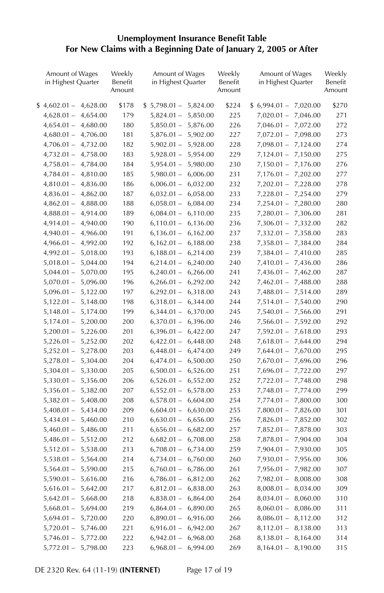#### **Unemployment Insurance Benefit Table For New Claims with a Beginning Date of January 2, 2005 or After**

| Amount of Wages<br>in Highest Quarter                | Weekly<br>Benefit<br>Amount | Amount of Wages<br>in Highest Quarter | Weekly<br>Benefit<br>Amount | Amount of Wages<br>in Highest Quarter    | Weekly<br>Benefit<br>Amount |
|------------------------------------------------------|-----------------------------|---------------------------------------|-----------------------------|------------------------------------------|-----------------------------|
| $$4,602.01 - 4,628.00$                               | \$178                       | $$5,798.01 - $5,824.00$               | \$224                       | $$6,994.01 - 7,020.00$                   | \$270                       |
| 4,654.00<br>$4,628.01 -$                             | 179                         | 5,850.00<br>$5,824.01 -$              | 225                         | $7,020.01 -$<br>7,046.00                 | 271                         |
| $4,654.01 -$<br>4,680.00                             | 180                         | $5,850.01 -$<br>5,876.00              | 226                         | $7,046.01 -$<br>7,072.00                 | 272                         |
| 4,706.00<br>$4,680.01 -$                             | 181                         | $5,876.01 - 5,902.00$                 | 227                         | $7,072.01 -$<br>7,098.00                 | 273                         |
| $4,706.01 -$<br>4,732.00                             | 182                         | 5,928.00<br>$5,902.01 -$              | 228                         | $7,098.01 -$<br>7,124.00                 | 274                         |
| $4,732.01 -$<br>4,758.00                             | 183                         | $5,928.01 -$<br>5,954.00              | 229                         | $7,124.01 -$<br>7,150.00                 | 275                         |
| $4,758.01 -$<br>4,784.00                             | 184                         | $5,954.01 -$<br>5,980.00              | 230                         | $7,150.01 -$<br>7,176.00                 | 276                         |
| 4,810.00<br>$4,784.01 -$                             | 185                         | 6,006.00<br>$5,980.01 -$              | 231                         | $7,176.01 - 7,202.00$                    | 277                         |
| $4,810.01 -$<br>4,836.00                             | 186                         | $6,006.01 -$<br>6,032.00              | 232                         | 7,228.00<br>$7,202.01 -$                 | 278                         |
| $4,836.01 -$<br>4,862.00                             | 187                         | $6,032.01 -$<br>6,058.00              | 233                         | $7,228.01 - 7,254.00$                    | 279                         |
| $4,862.01 -$<br>4,888.00                             | 188                         | $6,058.01 -$<br>6,084.00              | 234                         | $7,254.01 -$<br>7,280.00                 | 280                         |
| $4,888.01 -$<br>4,914.00                             | 189                         | $6,084.01 -$<br>6,110.00              | 235                         | $7,280.01 - 7,306.00$                    | 281                         |
| $4,914.01 -$<br>4,940.00                             | 190                         | $6,110.01 -$<br>6,136.00              | 236                         | $7,306.01 -$<br>7,332.00                 | 282                         |
| $4,940.01 -$<br>4,966.00                             | 191                         | 6,162.00<br>$6,136.01 -$              | 237                         | $7,332.01 - 7,358.00$                    | 283                         |
| $4,966.01 -$<br>4,992.00                             | 192                         | $6,162.01 -$<br>6,188.00              | 238                         | $7,358.01 -$<br>7,384.00                 | 284                         |
| $4,992.01 -$<br>5,018.00                             | 193                         | $6,188.01 - 6,214.00$                 | 239                         | $7,384.01 - 7,410.00$                    | 285                         |
| $5,018.01 -$<br>5,044.00                             | 194                         | 6,240.00<br>$6,214.01 -$              | 240                         | $7,410.01 -$<br>7,436.00                 | 286                         |
| $5,044.01 -$<br>5,070.00                             | 195                         | $6,240.01 -$<br>6,266.00              | 241                         | $7,436.01 -$<br>7,462.00                 | 287                         |
| $5,070.01 -$<br>5,096.00                             | 196                         | $6,266.01 - 6,292.00$                 | 242                         | $7,462.01 -$<br>7,488.00                 | 288                         |
| $5,096.01 -$<br>5,122.00                             | 197                         | $6,292.01 - 6,318.00$                 | 243                         | $7,488.01 -$<br>7,514.00                 | 289                         |
| $5,122.01 -$<br>5,148.00                             | 198                         | $6,318.01 - 6,344.00$                 | 244                         | $7,514.01 -$<br>7,540.00                 | 290                         |
| $5,148.01 -$<br>5,174.00                             | 199                         | $6,344.01 -$<br>6,370.00              | 245                         | $7,540.01 -$<br>7,566.00                 | 291                         |
| 5,200.00<br>$5,174.01 -$                             | 200                         | $6,370.01 - 6,396.00$                 | 246                         | 7,592.00<br>$7,566.01 -$                 | 292                         |
| $5,200.01 -$<br>5,226.00                             | 201                         | $6,396.01 - 6,422.00$                 | 247                         | $7,592.01 -$<br>7,618.00                 | 293                         |
| 5,252.00<br>$5,226.01 -$                             | 202                         | $6,422.01 - 6,448.00$                 | 248                         | $7,618.01 -$<br>7,644.00                 | 294                         |
| 5,278.00<br>$5,252.01 -$                             | 203                         | $6,448.01 - 6,474.00$                 | 249                         | 7,670.00<br>$7,644.01 -$                 | 295                         |
| $5,278.01 -$<br>5,304.00                             | 204                         | $6,474.01 - 6,500.00$                 | 250                         | 7,696.00<br>$7,670.01 -$                 | 296                         |
| $5,304.01 -$<br>5,330.00                             | 205                         | $6,500.01 -$<br>6,526.00              | 251                         | 7,722.00<br>$7,696.01 -$                 | 297                         |
| $5,330.01 -$<br>5,356.00                             | 206                         | $6,526.01 -$<br>6,552.00              | 252                         | $7,722.01 -$<br>7,748.00                 | 298                         |
| $5,356.01 -$<br>5,382.00                             | 207                         | $6,552.01 -$<br>6,578.00              | 253                         | 7,774.00<br>$7,748.01 -$                 | 299                         |
| $5,382.01 -$<br>5,408.00                             | 208                         | $6,578.01 -$<br>6,604.00              | 254                         | $7,774.01 -$<br>7,800.00                 | 300                         |
| $5,408.01 -$<br>5,434.00                             | 209                         | $6,604.01 -$<br>6,630.00              | 255                         | $7,800.01 -$<br>7,826.00                 | 301                         |
| $5,434.01 -$<br>5,460.00                             | 210                         | 6,656.00<br>$6,630.01 -$              | 256                         | $7,826.01 -$<br>7,852.00                 | 302                         |
| $5,460.01 -$<br>5,486.00                             | 211                         | $6,656.01 -$<br>6,682.00              | 257                         | $7,852.01 -$<br>7,878.00                 | 303                         |
| $5,486.01 -$<br>5,512.00                             | 212                         | $6,682.01 -$<br>6,708.00              | 258                         | $7,878.01 -$<br>7,904.00                 | 304                         |
|                                                      |                             | $6,708.01 -$                          | 259                         | 7,930.00                                 | 305                         |
| $5,512.01 -$<br>5,538.00<br>$5,538.01 -$<br>5,564.00 | 213<br>214                  | 6,734.00<br>$6,734.01 -$<br>6,760.00  | 260                         | $7,904.01 -$<br>$7,930.01 -$<br>7,956.00 | 306                         |
|                                                      | 215                         | $6,760.01 -$<br>6,786.00              | 261                         | $7,956.01 -$<br>7,982.00                 | 307                         |
| $5,564.01 -$<br>5,590.00                             |                             |                                       |                             |                                          |                             |
| $5,590.01 -$<br>5,616.00                             | 216                         | 6,812.00<br>$6,786.01 -$              | 262                         | 8,008.00<br>$7,982.01 -$<br>8,034.00     | 308<br>309                  |
| $5,616.01 -$<br>5,642.00                             | 217                         | $6,812.01 -$<br>6,838.00              | 263                         | $8,008.01 -$                             |                             |
| $5,642.01 -$<br>5,668.00                             | 218                         | $6,838.01 -$<br>6,864.00              | 264                         | $8,034.01 -$<br>8,060.00                 | 310                         |
| $5,668.01 -$<br>5,694.00                             | 219                         | $6,864.01 - 6,890.00$                 | 265                         | 8,086.00<br>$8,060.01 -$                 | 311                         |
| $5,694.01 -$<br>5,720.00                             | 220                         | $6,890.01 -$<br>6,916.00              | 266                         | $8,086.01 -$<br>8,112.00                 | 312                         |
| $5,720.01 -$<br>5,746.00                             | 221                         | $6,916.01 - 6,942.00$                 | 267                         | $8,112.01 -$<br>8,138.00                 | 313                         |
| 5,772.00<br>$5,746.01 -$                             | 222                         | $6,942.01 - 6,968.00$                 | 268                         | $8,138.01 - 8,164.00$                    | 314                         |
| 5,798.00<br>$5,772.01 -$                             | 223                         | $6,968.01 - 6,994.00$                 | 269                         | $8,164.01 - 8,190.00$                    | 315                         |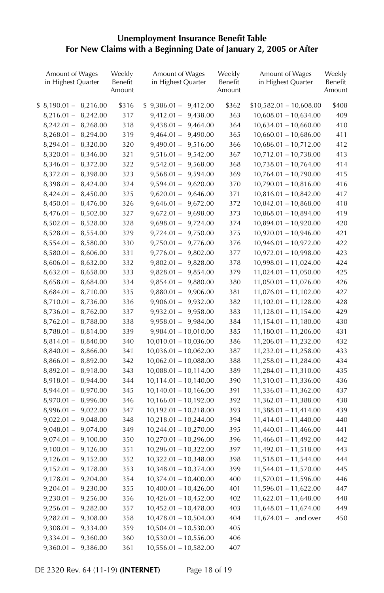#### **Unemployment Insurance Benefit Table For New Claims with a Beginning Date of January 2, 2005 or After**

| Amount of Wages<br>in Highest Quarter | Weekly<br>Benefit<br>Amount | Amount of Wages<br>in Highest Quarter | Weekly<br>Benefit<br>Amount | Amount of Wages<br>in Highest Quarter | Weekly<br>Benefit<br>Amount |
|---------------------------------------|-----------------------------|---------------------------------------|-----------------------------|---------------------------------------|-----------------------------|
| $$8,190.01-$<br>8,216.00              | \$316                       | $$9,386.01 - 9,412.00$                | \$362                       | $$10,582.01 - 10,608.00$              | \$408                       |
| 8,242.00<br>$8,216.01 -$              | 317                         | 9,438.00<br>$9,412.01 -$              | 363                         | $10,608.01 - 10,634.00$               | 409                         |
| $8,242.01 -$<br>8,268.00              | 318                         | $9,438.01 - 9,464.00$                 | 364                         | $10,634.01 - 10,660.00$               | 410                         |
| 8,294.00<br>$8,268.01 -$              | 319                         | $9,464.01 - 9,490.00$                 | 365                         | $10,660.01 - 10,686.00$               | 411                         |
| $8,294.01 -$<br>8,320.00              | 320                         | $9,490.01 - 9,516.00$                 | 366                         | $10,686.01 - 10,712.00$               | 412                         |
| $8,320.01 -$<br>8,346.00              | 321                         | $9,516.01 - 9,542.00$                 | 367                         | $10,712.01 - 10,738.00$               | 413                         |
| $8,346.01 -$<br>8,372.00              | 322                         | $9,542.01 -$<br>9,568.00              | 368                         | $10,738.01 - 10,764.00$               | 414                         |
| $8,372.01 -$<br>8,398.00              | 323                         | $9,568.01 -$<br>9,594.00              | 369                         | $10,764.01 - 10,790.00$               | 415                         |
| $8,398.01 -$<br>8,424.00              | 324                         | $9,594.01 -$<br>9,620.00              | 370                         | 10,790.01 - 10,816.00                 | 416                         |
| $8,424.01 -$<br>8,450.00              | 325                         | $9,620.01 - 9,646.00$                 | 371                         | $10,816.01 - 10,842.00$               | 417                         |
| $8,450.01 -$<br>8,476.00              | 326                         | $9,646.01 - 9,672.00$                 | 372                         | $10,842.01 - 10,868.00$               | 418                         |
| $8,476.01 -$<br>8,502.00              | 327                         | $9,672.01 - 9,698.00$                 | 373                         | $10,868.01 - 10,894.00$               | 419                         |
| $8,502.01 -$<br>8,528.00              | 328                         | $9,698.01 - 9,724.00$                 | 374                         | $10,894.01 - 10,920.00$               | 420                         |
| $8,528.01 -$<br>8,554.00              | 329                         | $9,724.01 - 9,750.00$                 | 375                         | $10,920.01 - 10,946.00$               | 421                         |
| $8,554.01 -$<br>8,580.00              | 330                         | $9,750.01 - 9,776.00$                 | 376                         | $10,946.01 - 10,972.00$               | 422                         |
| $8,580.01 -$<br>8,606.00              | 331                         | $9,776.01 - 9,802.00$                 | 377                         | 10,972.01 - 10,998.00                 | 423                         |
| $8,606.01 -$<br>8,632.00              | 332                         | $9,802.01 - 9,828.00$                 | 378                         | $10,998.01 - 11,024.00$               | 424                         |
| $8,632.01 -$<br>8,658.00              | 333                         | $9,828.01 - 9,854.00$                 | 379                         | $11,024.01 - 11,050.00$               | 425                         |
| $8,658.01 -$<br>8,684.00              | 334                         | $9,854.01 - 9,880.00$                 | 380                         | $11,050.01 - 11,076.00$               | 426                         |
| $8,684.01 -$<br>8,710.00              | 335                         | $9,880.01 - 9,906.00$                 | 381                         | $11,076.01 - 11,102.00$               | 427                         |
| $8,710.01 -$<br>8,736.00              | 336                         | $9,906.01 - 9,932.00$                 | 382                         | 11,102.01 - 11,128.00                 | 428                         |
| $8,736.01 -$<br>8,762.00              | 337                         | $9,932.01 - 9,958.00$                 | 383                         | $11,128.01 - 11,154.00$               | 429                         |
| $8,762.01 -$<br>8,788.00              | 338                         | $9,958.01 - 9,984.00$                 | 384                         | 11,154.01 - 11,180.00                 | 430                         |
| $8,788.01 -$<br>8,814.00              | 339                         | $9,984.01 - 10,010.00$                | 385                         | $11,180.01 - 11,206.00$               | 431                         |
| $8,814.01 -$<br>8,840.00              | 340                         | $10,010.01 - 10,036.00$               | 386                         | $11,206.01 - 11,232.00$               | 432                         |
| $8,840.01 -$<br>8,866.00              | 341                         | $10,036.01 - 10,062.00$               | 387                         | $11,232.01 - 11,258.00$               | 433                         |
| $8,866.01 -$<br>8,892.00              | 342                         | $10,062.01 - 10,088.00$               | 388                         | $11,258.01 - 11,284.00$               | 434                         |
| $8,892.01 -$<br>8,918.00              | 343                         | $10,088.01 - 10,114.00$               | 389                         | 11,284.01 - 11,310.00                 | 435                         |
| $8,918.01 -$<br>8,944.00              | 344                         | $10,114.01 - 10,140.00$               | 390                         | 11,310.01 - 11,336.00                 | 436                         |
| $8,944.01 -$<br>8,970.00              | 345                         | $10,140.01 - 10,166.00$               | 391                         | 11,336.01 - 11,362.00                 | 437                         |
| $8,970.01 -$<br>8,996.00              | 346                         | $10,166.01 - 10,192.00$               | 392                         | $11,362.01 - 11,388.00$               | 438                         |
| $8,996.01 -$<br>9,022.00              | 347                         | $10,192.01 - 10,218.00$               | 393                         | 11,388.01 - 11,414.00                 | 439                         |
| $9,022.01 -$<br>9,048.00              | 348                         | $10,218.01 - 10,244.00$               | 394                         | 11,414.01 - 11,440.00                 | 440                         |
| $9,048.01 -$<br>9,074.00              | 349                         | $10,244.01 - 10,270.00$               | 395                         | $11,440.01 - 11,466.00$               | 441                         |
| $9,074.01 -$<br>9,100.00              | 350                         | $10,270.01 - 10,296.00$               | 396                         | $11,466.01 - 11,492.00$               | 442                         |
| $9,100.01 -$<br>9,126.00              | 351                         | $10,296.01 - 10,322.00$               | 397                         | 11,492.01 - 11,518.00                 | 443                         |
| $9,126.01 -$<br>9,152.00              | 352                         | $10,322.01 - 10,348.00$               | 398                         | $11,518.01 - 11,544.00$               | 444                         |
| $9,152.01 -$<br>9,178.00              | 353                         | $10,348.01 - 10,374.00$               | 399                         | $11,544.01 - 11,570.00$               | 445                         |
| $9,178.01 -$<br>9,204.00              | 354                         | $10,374.01 - 10,400.00$               | 400                         | 11,570.01 - 11,596.00                 | 446                         |
| $9,204.01 -$<br>9,230.00              | 355                         | $10,400.01 - 10,426.00$               | 401                         | $11,596.01 - 11,622.00$               | 447                         |
| $9,230.01 -$<br>9,256.00              | 356                         | $10,426.01 - 10,452.00$               | 402                         | $11,622.01 - 11,648.00$               | 448                         |
| $9,256.01 -$<br>9,282.00              | 357                         | $10,452.01 - 10,478.00$               | 403                         | $11,648.01 - 11,674.00$               | 449                         |
| $9,282.01 -$<br>9,308.00              | 358                         | $10,478.01 - 10,504.00$               | 404                         | $11,674.01 -$<br>and over             | 450                         |
| $9,308.01 -$<br>9,334.00              | 359                         | $10,504.01 - 10,530.00$               | 405                         |                                       |                             |
| 9,360.00<br>$9,334.01 -$              | 360                         | $10,530.01 - 10,556.00$               | 406                         |                                       |                             |
| $9,360.01 - 9,386.00$                 | 361                         | $10,556.01 - 10,582.00$               | 407                         |                                       |                             |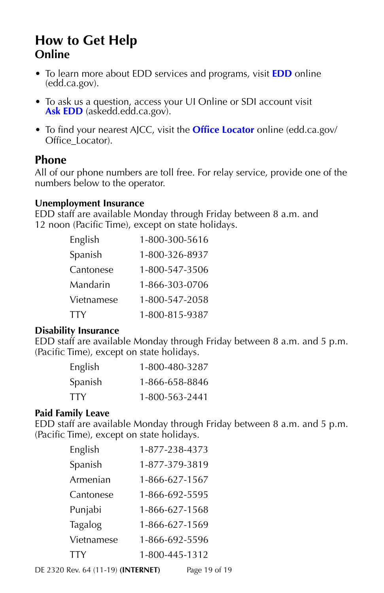# **How to Get Help Online**

- To learn more about EDD services and programs, visit **[EDD](https://edd.ca.gov/)** online (edd.ca.gov).
- To ask us a question, access your UI Online or SDI account visit Ask **EDD** (askedd.edd.ca.gov).
- To find your nearest AJCC, visit the **[Office Locator](https://edd.ca.gov/Office_Locator/)** online (edd.ca.gov/ Office\_Locator).

#### **Phone**

All of our phone numbers are toll free. For relay service, provide one of the numbers below to the operator.

#### **Unemployment Insurance**

EDD staff are available Monday through Friday between 8 a.m. and 12 noon (Pacific Time), except on state holidays.

| English    | 1-800-300-5616 |
|------------|----------------|
| Spanish    | 1-800-326-8937 |
| Cantonese  | 1-800-547-3506 |
| Mandarin   | 1-866-303-0706 |
| Vietnamese | 1-800-547-2058 |
| TTY        | 1-800-815-9387 |

#### **Disability Insurance**

EDD staff are available Monday through Friday between 8 a.m. and 5 p.m. (Pacific Time), except on state holidays.

| English | 1-800-480-3287 |
|---------|----------------|
| Spanish | 1-866-658-8846 |
| TTY     | 1-800-563-2441 |

#### **Paid Family Leave**

EDD staff are available Monday through Friday between 8 a.m. and 5 p.m. (Pacific Time), except on state holidays.

| English    | 1-877-238-4373 |
|------------|----------------|
| Spanish    | 1-877-379-3819 |
| Armenian   | 1-866-627-1567 |
| Cantonese  | 1-866-692-5595 |
| Punjabi    | 1-866-627-1568 |
| Tagalog    | 1-866-627-1569 |
| Vietnamese | 1-866-692-5596 |
| TTY        | 1-800-445-1312 |

DE 2320 Rev. 64 (11-19) **(INTERNET)** Page 19 of 19